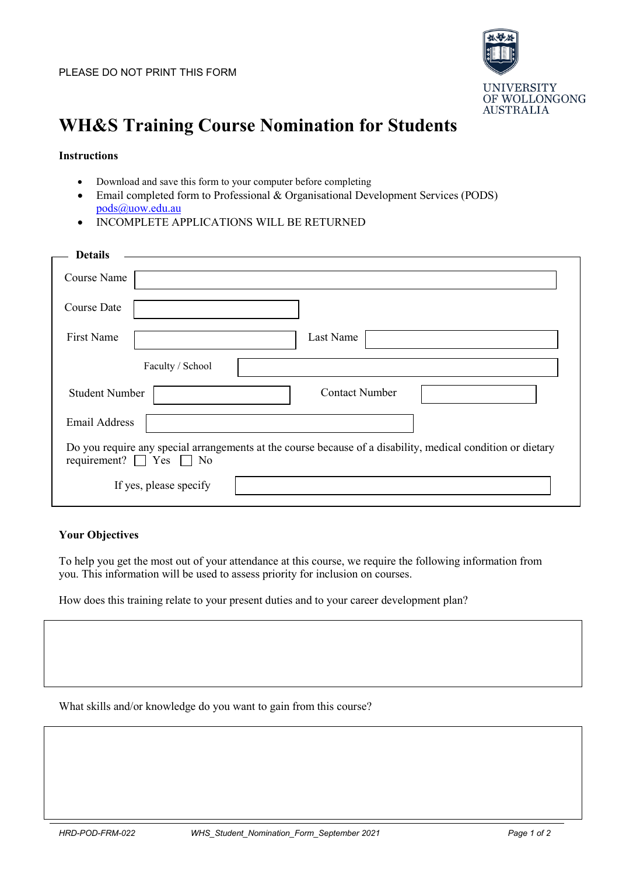

## **WH&S Training Course Nomination for Students**

## **Instructions**

- Download and save this form to your computer before completing
- Email completed form to Professional & Organisational Development Services (PODS) [pods@uow.edu.au](mailto:pods@uow.edu.au)
- INCOMPLETE APPLICATIONS WILL BE RETURNED

| <b>Details</b>                    |                                                                                                             |
|-----------------------------------|-------------------------------------------------------------------------------------------------------------|
| Course Name                       |                                                                                                             |
| <b>Course Date</b>                |                                                                                                             |
| First Name                        | Last Name                                                                                                   |
| Faculty / School                  |                                                                                                             |
| <b>Student Number</b>             | <b>Contact Number</b>                                                                                       |
| <b>Email Address</b>              |                                                                                                             |
| requirement? $\Box$ Yes $\Box$ No | Do you require any special arrangements at the course because of a disability, medical condition or dietary |
| If yes, please specify            |                                                                                                             |

## **Your Objectives**

To help you get the most out of your attendance at this course, we require the following information from you. This information will be used to assess priority for inclusion on courses.

How does this training relate to your present duties and to your career development plan?

What skills and/or knowledge do you want to gain from this course?